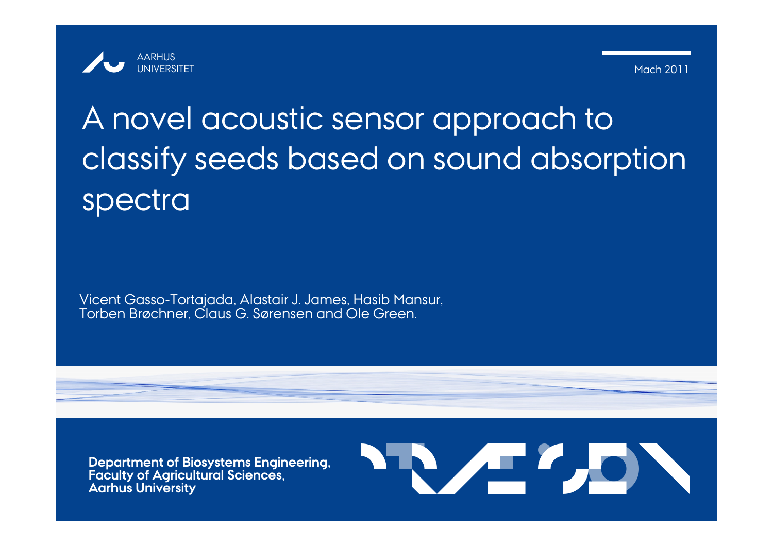

12 Mach 2011

# A novel acoustic sensor approach to classify seeds based on sound absorption spectra

Vicent Gasso-Tortajada, Alastair J. James, Hasib Mansur, Torben Brøchner, Claus G. Sørensen and Ole Green.

**Department of Biosystems Engineering, Faculty of Agricultural Sciences, Aarhus University**

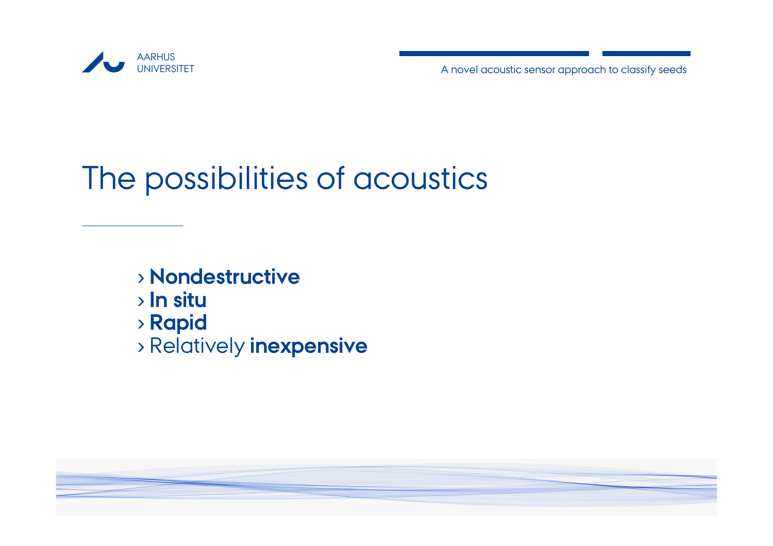

# The possibilities of acoustics

- › **Nondestructive**
- › **In situ**
- › **Rapid**
- › Relatively **inexpensive**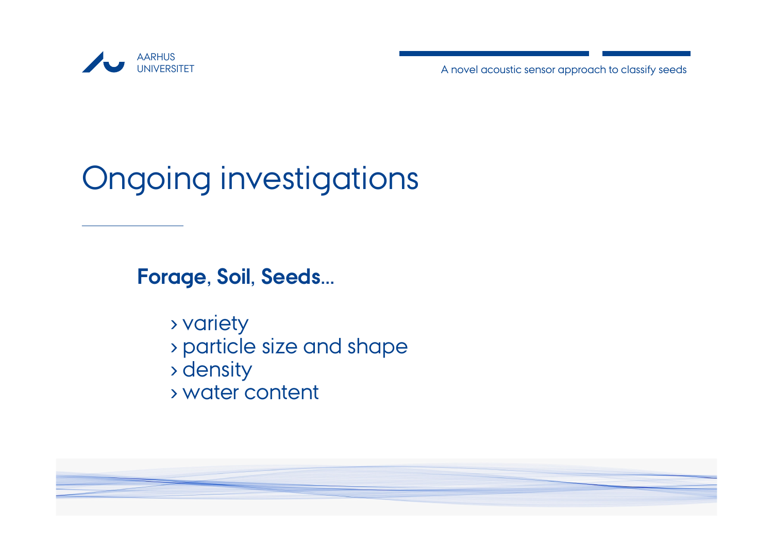

# Ongoing investigations

**Forage, Soil, Seeds...**

› variety › particle size and shape › density › water content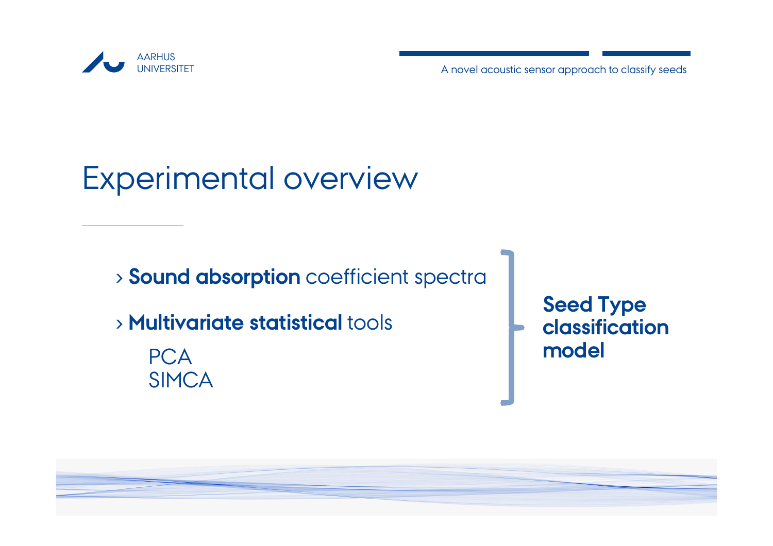

# Experimental overview

› **Sound absorption** coefficient spectra

› **Multivariate statistical** tools

**PCA SIMCA**  **Seed Type classification model**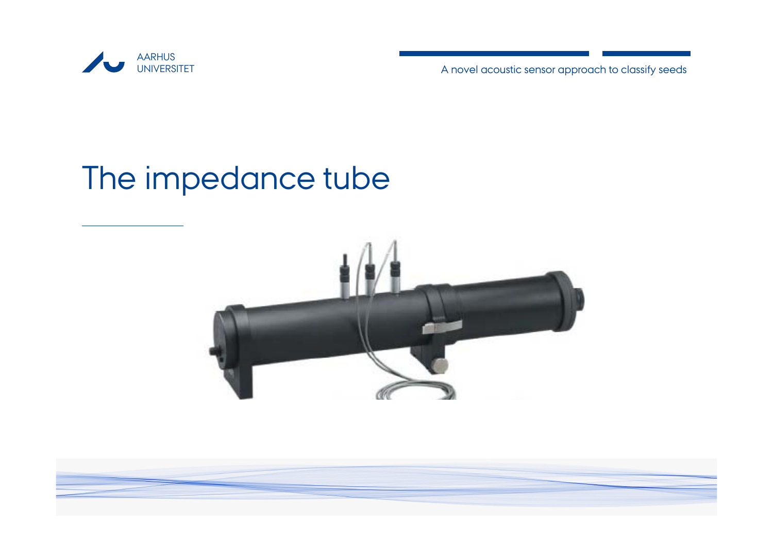

# The impedance tube

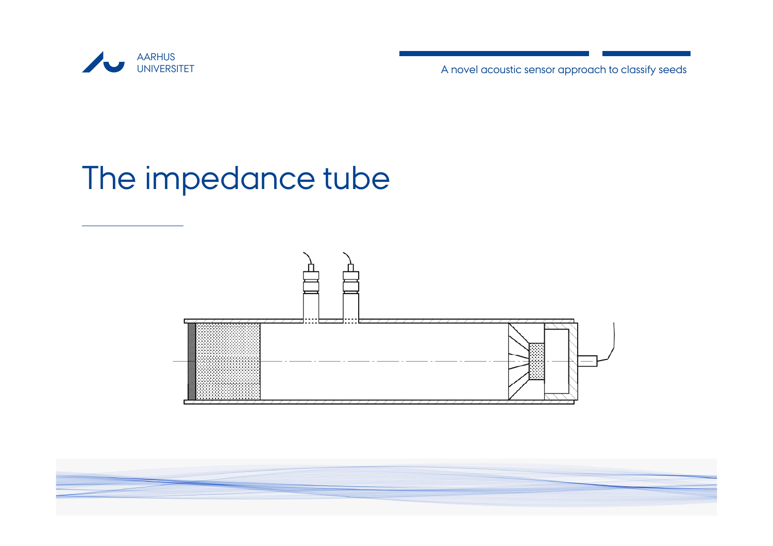

# The impedance tube

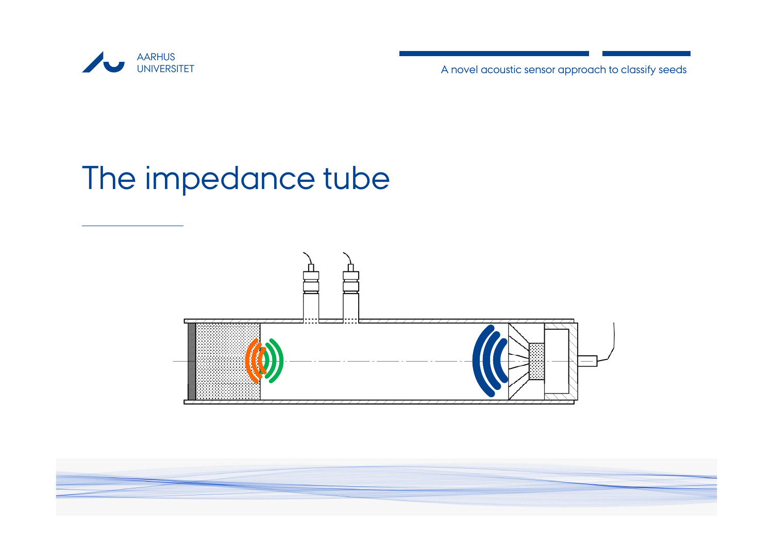

# The impedance tube

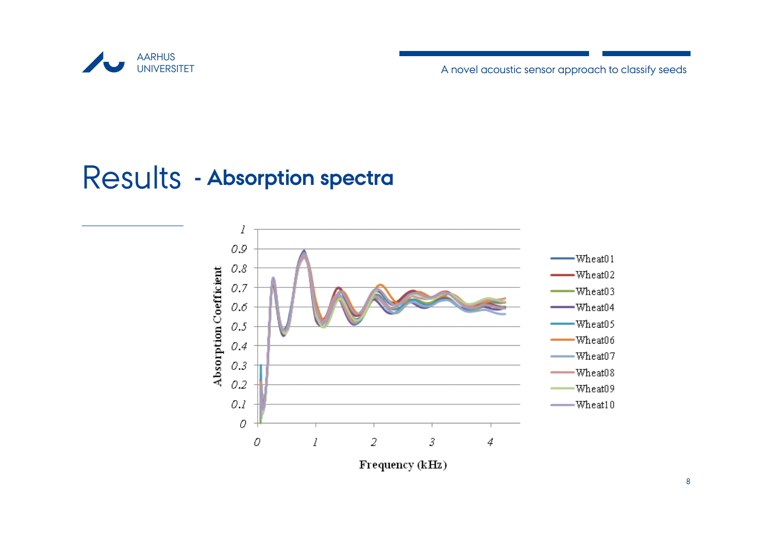

### Results **- Absorption spectra**

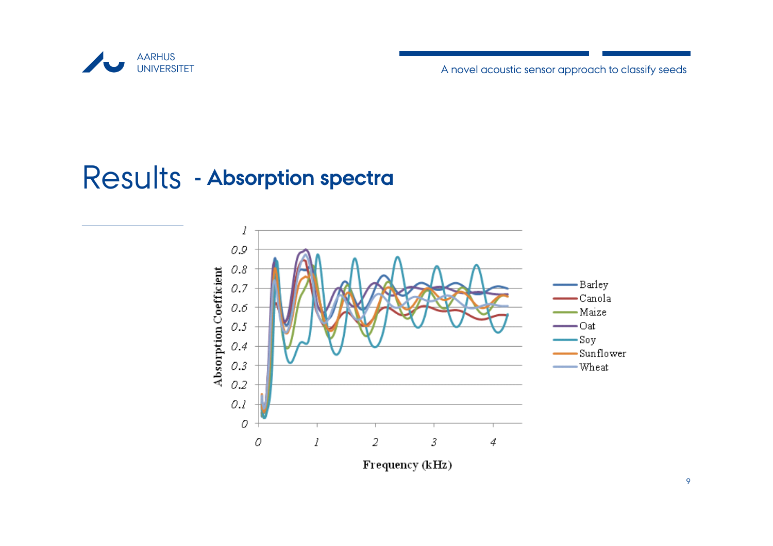

### Results **- Absorption spectra**

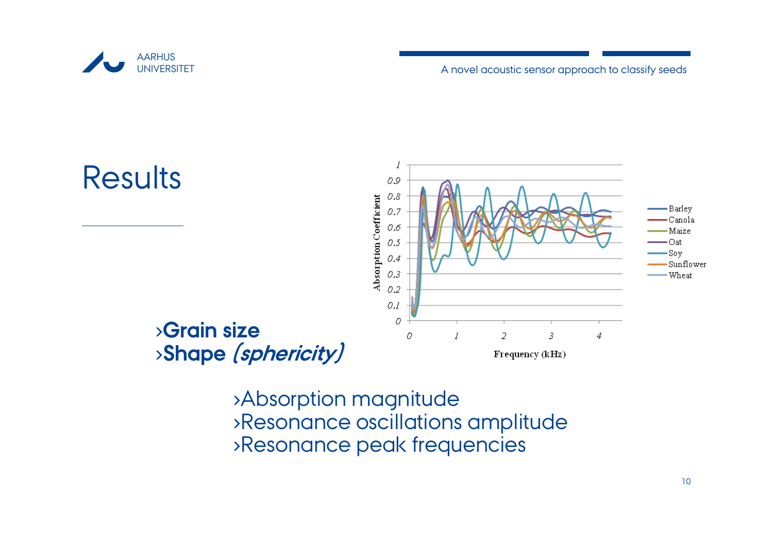

A novel acoustic sensor approach to classify seeds



›Absorption magnitude ›Resonance oscillations amplitude ›Resonance peak frequencies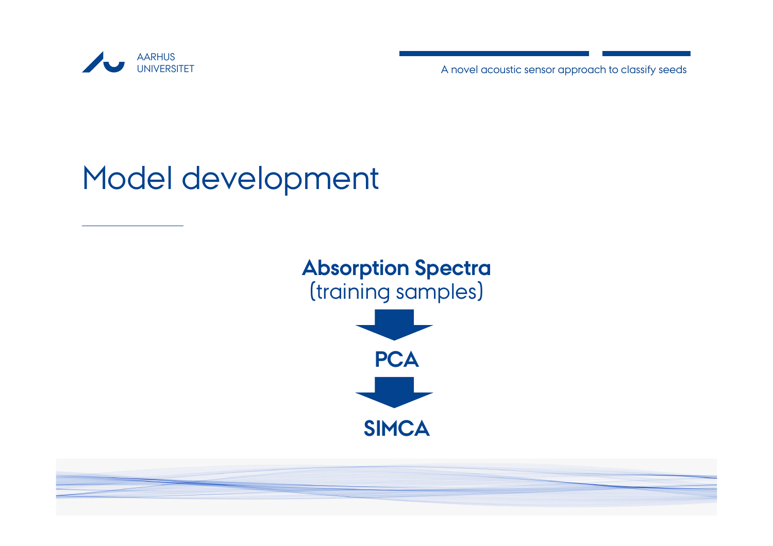

# Model development

# **Absorption Spectra** (training samples) **PCA**

**SIMCA**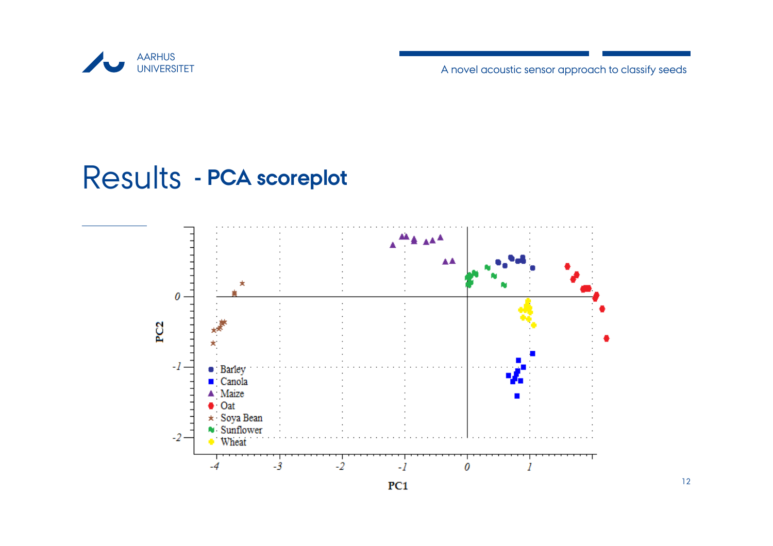

#### Results **- PCA scoreplot**

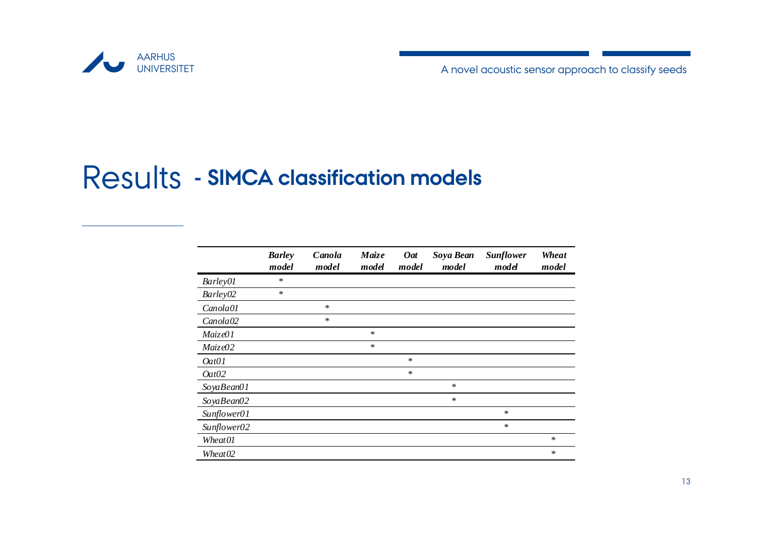

#### Results**- SIMCA classification models**

|                      | <b>Barley</b><br>model | Canola<br>model | Maize<br>model | <b>Oat</b><br>model | Soya Bean<br>model | <b>Sunflower</b><br>model | Wheat<br>model |
|----------------------|------------------------|-----------------|----------------|---------------------|--------------------|---------------------------|----------------|
| Barley01             | *                      |                 |                |                     |                    |                           |                |
| Barley02             | $\ast$                 |                 |                |                     |                    |                           |                |
| Canola01             |                        | $\ast$          |                |                     |                    |                           |                |
| Canola <sub>02</sub> |                        | $\ast$          |                |                     |                    |                           |                |
| Maize01              |                        |                 | $\ast$         |                     |                    |                           |                |
| Maize02              |                        |                 | $\ast$         |                     |                    |                           |                |
| Oat01                |                        |                 |                | $\ast$              |                    |                           |                |
| 0at02                |                        |                 |                | $\star$             |                    |                           |                |
| SoyaBean01           |                        |                 |                |                     | $\star$            |                           |                |
| SoyaBean02           |                        |                 |                |                     | $\ast$             |                           |                |
| Sunflower01          |                        |                 |                |                     |                    | $\star$                   |                |
| Sunflower02          |                        |                 |                |                     |                    | $\ast$                    |                |
| Wheat01              |                        |                 |                |                     |                    |                           | $\ast$         |
| Wheat <sub>02</sub>  |                        |                 |                |                     |                    |                           | ∗              |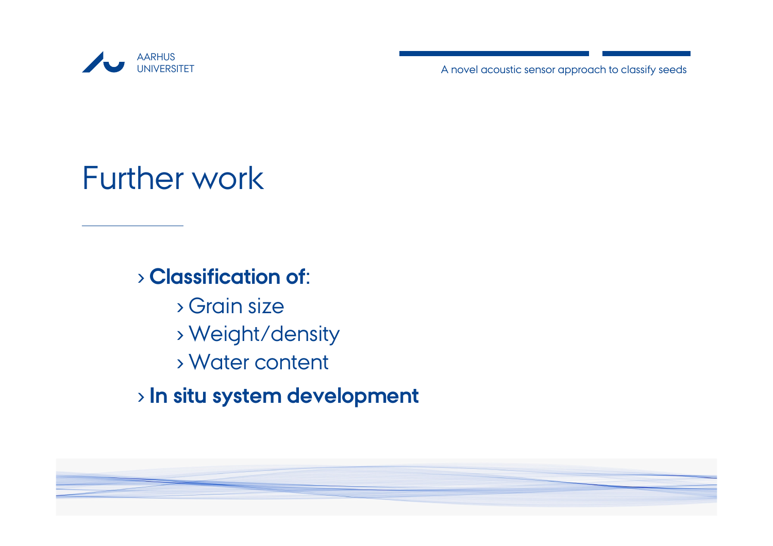

# Further work

#### › **Classification of:**

- › Grain size› Weight/density › Water content
- › **In situ system development**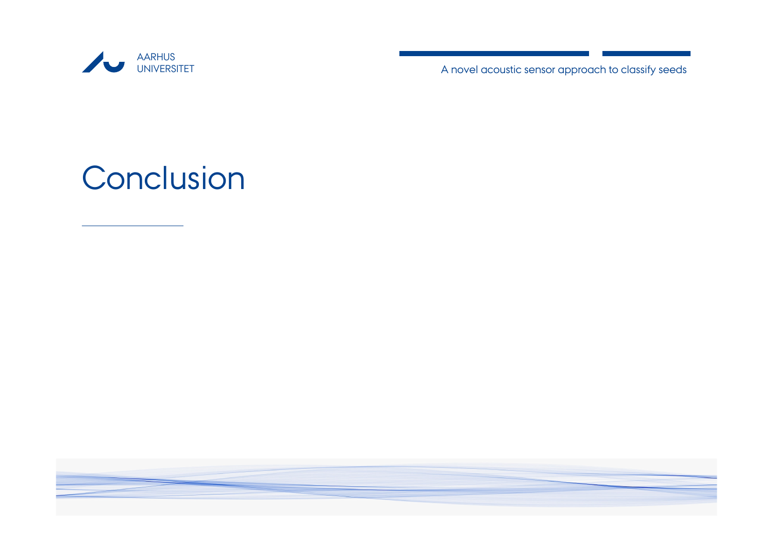

Conclusion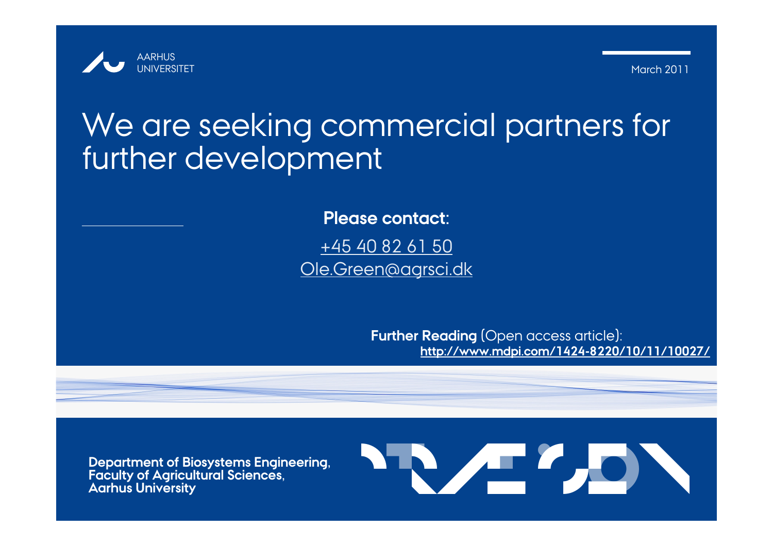

March 2011

## We are seeking commercial partners for further development

**Please contact:**+45 40 82 61 50 Ole.Green@agrsci.dk

> **Further Reading** (Open access article): **http://www.mdpi.com/1424-8220/10/11/10027/**

**Department of Biosystems Engineering, Faculty of Agricultural Sciences, Aarhus University**